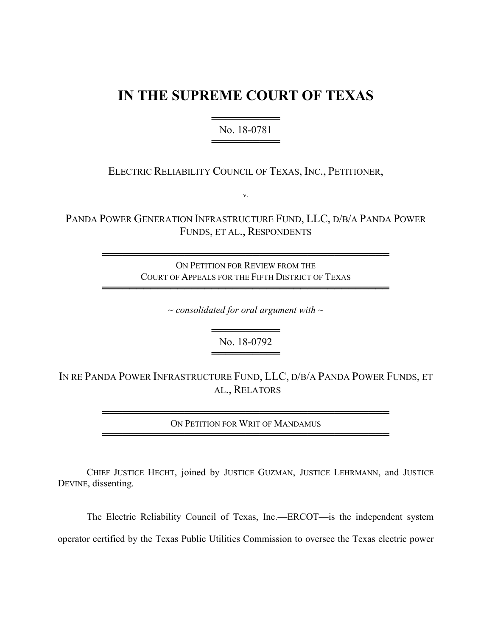## **IN THE SUPREME COURT OF TEXAS**

════════════════════════ No. 18-0781 ══════════════

ELECTRIC RELIABILITY COUNCIL OF TEXAS, INC., PETITIONER,

v.

PANDA POWER GENERATION INFRASTRUCTURE FUND, LLC, D/B/A PANDA POWER FUNDS, ET AL., RESPONDENTS

> ══════════════════════════════════════════ ON PETITION FOR REVIEW FROM THE COURT OF APPEALS FOR THE FIFTH DISTRICT OF TEXAS

> ══════════════════════════════════════════

*~ consolidated for oral argument with ~*

══════════════ No. 18-0792 ══════════════

IN RE PANDA POWER INFRASTRUCTURE FUND, LLC, D/B/A PANDA POWER FUNDS, ET AL., RELATORS

> ══════════════════════════════════════════ ON PETITION FOR WRIT OF MANDAMUS ══════════════════════════════════════════

CHIEF JUSTICE HECHT, joined by JUSTICE GUZMAN, JUSTICE LEHRMANN, and JUSTICE DEVINE, dissenting.

The Electric Reliability Council of Texas, Inc.—ERCOT—is the independent system operator certified by the Texas Public Utilities Commission to oversee the Texas electric power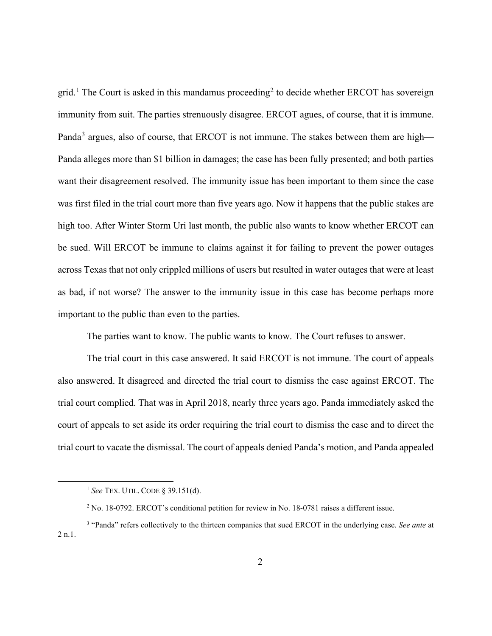grid.<sup>1</sup> The Court is asked in this mandamus proceeding<sup>2</sup> to decide whether ERCOT has sovereign immunity from suit. The parties strenuously disagree. ERCOT agues, of course, that it is immune. Panda<sup>3</sup> argues, also of course, that ERCOT is not immune. The stakes between them are high— Panda alleges more than \$1 billion in damages; the case has been fully presented; and both parties want their disagreement resolved. The immunity issue has been important to them since the case was first filed in the trial court more than five years ago. Now it happens that the public stakes are high too. After Winter Storm Uri last month, the public also wants to know whether ERCOT can be sued. Will ERCOT be immune to claims against it for failing to prevent the power outages across Texas that not only crippled millions of users but resulted in water outages that were at least as bad, if not worse? The answer to the immunity issue in this case has become perhaps more important to the public than even to the parties.

The parties want to know. The public wants to know. The Court refuses to answer.

The trial court in this case answered. It said ERCOT is not immune. The court of appeals also answered. It disagreed and directed the trial court to dismiss the case against ERCOT. The trial court complied. That was in April 2018, nearly three years ago. Panda immediately asked the court of appeals to set aside its order requiring the trial court to dismiss the case and to direct the trial court to vacate the dismissal. The court of appeals denied Panda's motion, and Panda appealed

<sup>1</sup> *See* TEX. UTIL. CODE § 39.151(d).

<sup>2</sup> No. 18-0792. ERCOT's conditional petition for review in No. 18-0781 raises a different issue.

<sup>3</sup> "Panda" refers collectively to the thirteen companies that sued ERCOT in the underlying case. *See ante* at 2 n.1.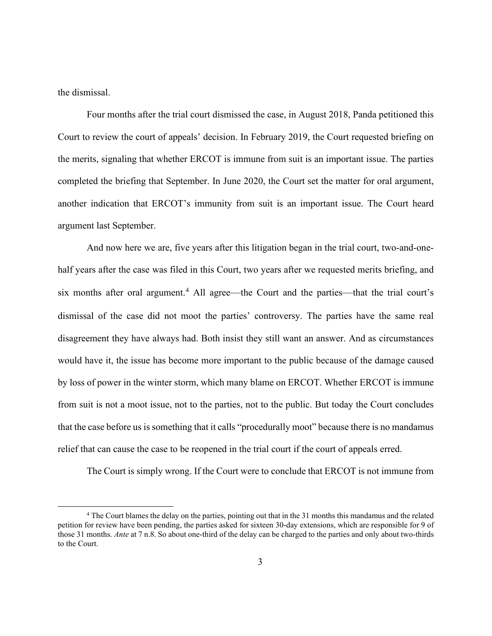the dismissal.

Four months after the trial court dismissed the case, in August 2018, Panda petitioned this Court to review the court of appeals' decision. In February 2019, the Court requested briefing on the merits, signaling that whether ERCOT is immune from suit is an important issue. The parties completed the briefing that September. In June 2020, the Court set the matter for oral argument, another indication that ERCOT's immunity from suit is an important issue. The Court heard argument last September.

And now here we are, five years after this litigation began in the trial court, two-and-onehalf years after the case was filed in this Court, two years after we requested merits briefing, and six months after oral argument.<sup>4</sup> All agree—the Court and the parties—that the trial court's dismissal of the case did not moot the parties' controversy. The parties have the same real disagreement they have always had. Both insist they still want an answer. And as circumstances would have it, the issue has become more important to the public because of the damage caused by loss of power in the winter storm, which many blame on ERCOT. Whether ERCOT is immune from suit is not a moot issue, not to the parties, not to the public. But today the Court concludes that the case before us is something that it calls "procedurally moot" because there is no mandamus relief that can cause the case to be reopened in the trial court if the court of appeals erred.

The Court is simply wrong. If the Court were to conclude that ERCOT is not immune from

<sup>4</sup> The Court blames the delay on the parties, pointing out that in the 31 months this mandamus and the related petition for review have been pending, the parties asked for sixteen 30-day extensions, which are responsible for 9 of those 31 months. *Ante* at 7 n.8. So about one-third of the delay can be charged to the parties and only about two-thirds to the Court.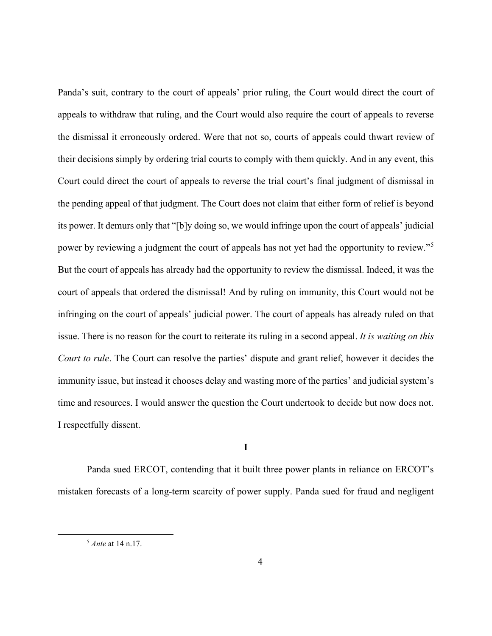Panda's suit, contrary to the court of appeals' prior ruling, the Court would direct the court of appeals to withdraw that ruling, and the Court would also require the court of appeals to reverse the dismissal it erroneously ordered. Were that not so, courts of appeals could thwart review of their decisions simply by ordering trial courts to comply with them quickly. And in any event, this Court could direct the court of appeals to reverse the trial court's final judgment of dismissal in the pending appeal of that judgment. The Court does not claim that either form of relief is beyond its power. It demurs only that "[b]y doing so, we would infringe upon the court of appeals' judicial power by reviewing a judgment the court of appeals has not yet had the opportunity to review."<sup>5</sup> But the court of appeals has already had the opportunity to review the dismissal. Indeed, it was the court of appeals that ordered the dismissal! And by ruling on immunity, this Court would not be infringing on the court of appeals' judicial power. The court of appeals has already ruled on that issue. There is no reason for the court to reiterate its ruling in a second appeal. *It is waiting on this Court to rule*. The Court can resolve the parties' dispute and grant relief, however it decides the immunity issue, but instead it chooses delay and wasting more of the parties' and judicial system's time and resources. I would answer the question the Court undertook to decide but now does not. I respectfully dissent.

**I**

Panda sued ERCOT, contending that it built three power plants in reliance on ERCOT's mistaken forecasts of a long-term scarcity of power supply. Panda sued for fraud and negligent

<sup>5</sup> *Ante* at 14 n.17.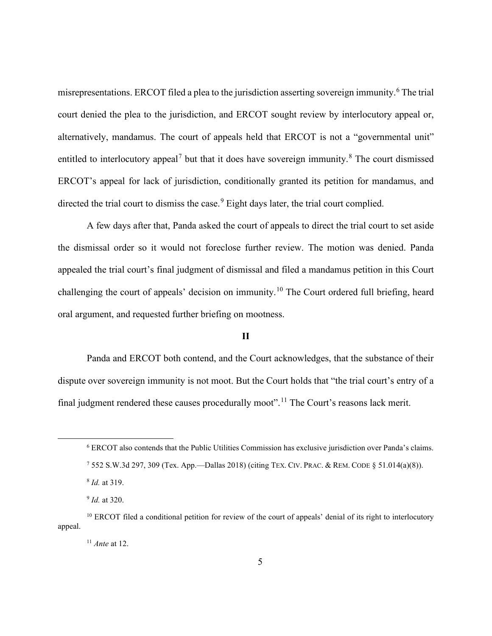misrepresentations. ERCOT filed a plea to the jurisdiction asserting sovereign immunity.<sup>6</sup> The trial court denied the plea to the jurisdiction, and ERCOT sought review by interlocutory appeal or, alternatively, mandamus. The court of appeals held that ERCOT is not a "governmental unit" entitled to interlocutory appeal<sup>7</sup> but that it does have sovereign immunity.<sup>8</sup> The court dismissed ERCOT's appeal for lack of jurisdiction, conditionally granted its petition for mandamus, and directed the trial court to dismiss the case.<sup>9</sup> Eight days later, the trial court complied.

A few days after that, Panda asked the court of appeals to direct the trial court to set aside the dismissal order so it would not foreclose further review. The motion was denied. Panda appealed the trial court's final judgment of dismissal and filed a mandamus petition in this Court challenging the court of appeals' decision on immunity.<sup>10</sup> The Court ordered full briefing, heard oral argument, and requested further briefing on mootness.

## **II**

Panda and ERCOT both contend, and the Court acknowledges, that the substance of their dispute over sovereign immunity is not moot. But the Court holds that "the trial court's entry of a final judgment rendered these causes procedurally moot".<sup>11</sup> The Court's reasons lack merit.

<sup>6</sup> ERCOT also contends that the Public Utilities Commission has exclusive jurisdiction over Panda's claims.

<sup>7</sup> 552 S.W.3d 297, 309 (Tex. App.—Dallas 2018) (citing TEX. CIV. PRAC. & REM. CODE § 51.014(a)(8)).

<sup>8</sup> *Id.* at 319.

<sup>9</sup> *Id.* at 320.

<sup>&</sup>lt;sup>10</sup> ERCOT filed a conditional petition for review of the court of appeals' denial of its right to interlocutory appeal.

<sup>11</sup> *Ante* at 12.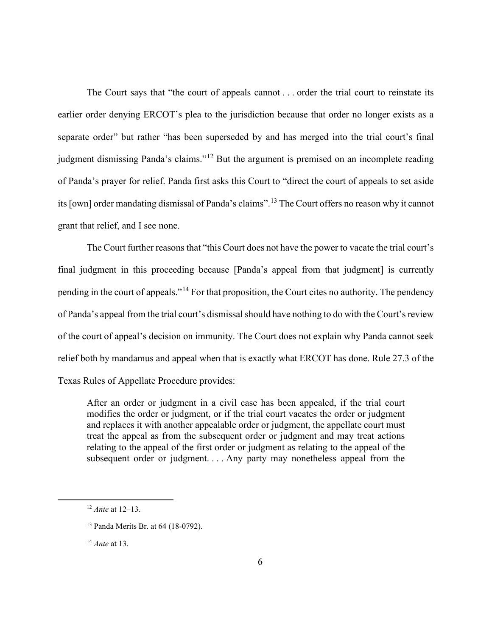The Court says that "the court of appeals cannot . . . order the trial court to reinstate its earlier order denying ERCOT's plea to the jurisdiction because that order no longer exists as a separate order" but rather "has been superseded by and has merged into the trial court's final judgment dismissing Panda's claims."<sup>12</sup> But the argument is premised on an incomplete reading of Panda's prayer for relief. Panda first asks this Court to "direct the court of appeals to set aside its [own] order mandating dismissal of Panda's claims".<sup>13</sup> The Court offers no reason why it cannot grant that relief, and I see none.

The Court further reasons that "this Court does not have the power to vacate the trial court's final judgment in this proceeding because [Panda's appeal from that judgment] is currently pending in the court of appeals."<sup>14</sup> For that proposition, the Court cites no authority. The pendency of Panda's appeal from the trial court's dismissal should have nothing to do with the Court's review of the court of appeal's decision on immunity. The Court does not explain why Panda cannot seek relief both by mandamus and appeal when that is exactly what ERCOT has done. Rule 27.3 of the Texas Rules of Appellate Procedure provides:

After an order or judgment in a civil case has been appealed, if the trial court modifies the order or judgment, or if the trial court vacates the order or judgment and replaces it with another appealable order or judgment, the appellate court must treat the appeal as from the subsequent order or judgment and may treat actions relating to the appeal of the first order or judgment as relating to the appeal of the subsequent order or judgment. . . . Any party may nonetheless appeal from the

<sup>12</sup> *Ante* at 12–13.

<sup>13</sup> Panda Merits Br. at 64 (18-0792).

<sup>14</sup> *Ante* at 13.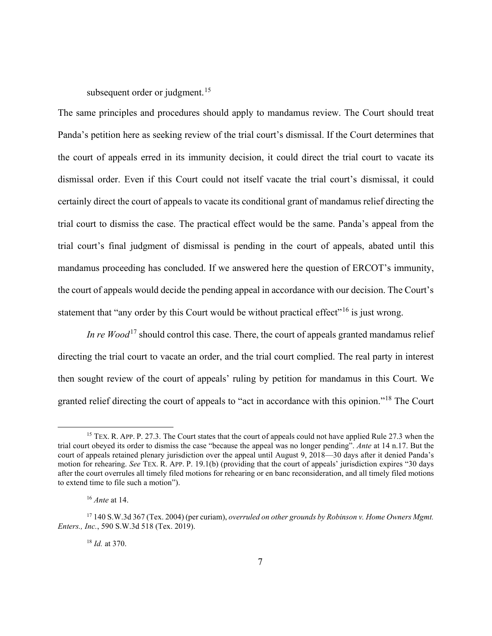subsequent order or judgment.<sup>15</sup>

The same principles and procedures should apply to mandamus review. The Court should treat Panda's petition here as seeking review of the trial court's dismissal. If the Court determines that the court of appeals erred in its immunity decision, it could direct the trial court to vacate its dismissal order. Even if this Court could not itself vacate the trial court's dismissal, it could certainly direct the court of appeals to vacate its conditional grant of mandamus relief directing the trial court to dismiss the case. The practical effect would be the same. Panda's appeal from the trial court's final judgment of dismissal is pending in the court of appeals, abated until this mandamus proceeding has concluded. If we answered here the question of ERCOT's immunity, the court of appeals would decide the pending appeal in accordance with our decision. The Court's statement that "any order by this Court would be without practical effect"<sup>16</sup> is just wrong.

*In re Wood*<sup>17</sup> should control this case. There, the court of appeals granted mandamus relief directing the trial court to vacate an order, and the trial court complied. The real party in interest then sought review of the court of appeals' ruling by petition for mandamus in this Court. We granted relief directing the court of appeals to "act in accordance with this opinion."<sup>18</sup> The Court

<sup>18</sup> *Id.* at 370.

<sup>&</sup>lt;sup>15</sup> TEX. R. APP. P. 27.3. The Court states that the court of appeals could not have applied Rule 27.3 when the trial court obeyed its order to dismiss the case "because the appeal was no longer pending". *Ante* at 14 n.17. But the court of appeals retained plenary jurisdiction over the appeal until August 9, 2018—30 days after it denied Panda's motion for rehearing. *See* TEX. R. APP. P. 19.1(b) (providing that the court of appeals' jurisdiction expires "30 days after the court overrules all timely filed motions for rehearing or en banc reconsideration, and all timely filed motions to extend time to file such a motion").

<sup>16</sup> *Ante* at 14.

<sup>17</sup> 140 S.W.3d 367 (Tex. 2004) (per curiam), *overruled on other grounds by Robinson v. Home Owners Mgmt. Enters., Inc.*, 590 S.W.3d 518 (Tex. 2019).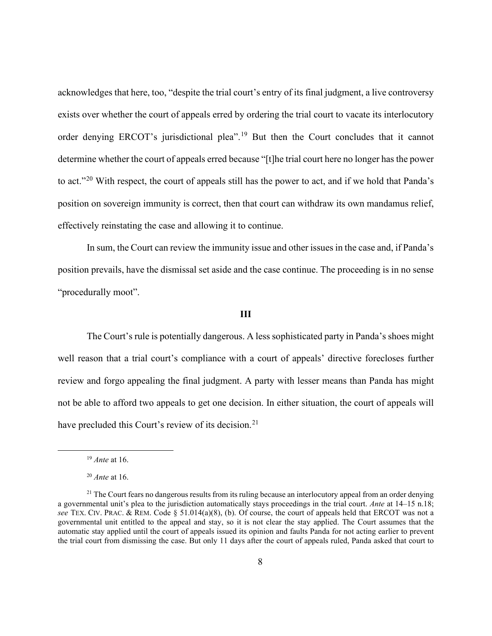acknowledges that here, too, "despite the trial court's entry of its final judgment, a live controversy exists over whether the court of appeals erred by ordering the trial court to vacate its interlocutory order denying ERCOT's jurisdictional plea".<sup>19</sup> But then the Court concludes that it cannot determine whether the court of appeals erred because "[t]he trial court here no longer has the power to act."<sup>20</sup> With respect, the court of appeals still has the power to act, and if we hold that Panda's position on sovereign immunity is correct, then that court can withdraw its own mandamus relief, effectively reinstating the case and allowing it to continue.

In sum, the Court can review the immunity issue and other issues in the case and, if Panda's position prevails, have the dismissal set aside and the case continue. The proceeding is in no sense "procedurally moot".

## **III**

The Court's rule is potentially dangerous. A less sophisticated party in Panda's shoes might well reason that a trial court's compliance with a court of appeals' directive forecloses further review and forgo appealing the final judgment. A party with lesser means than Panda has might not be able to afford two appeals to get one decision. In either situation, the court of appeals will have precluded this Court's review of its decision.<sup>21</sup>

<sup>19</sup> *Ante* at 16.

<sup>20</sup> *Ante* at 16.

 $21$  The Court fears no dangerous results from its ruling because an interlocutory appeal from an order denying a governmental unit's plea to the jurisdiction automatically stays proceedings in the trial court. *Ante* at 14–15 n.18; *see* TEX. CIV. PRAC. & REM. Code § 51.014(a)(8), (b). Of course, the court of appeals held that ERCOT was not a governmental unit entitled to the appeal and stay, so it is not clear the stay applied. The Court assumes that the automatic stay applied until the court of appeals issued its opinion and faults Panda for not acting earlier to prevent the trial court from dismissing the case. But only 11 days after the court of appeals ruled, Panda asked that court to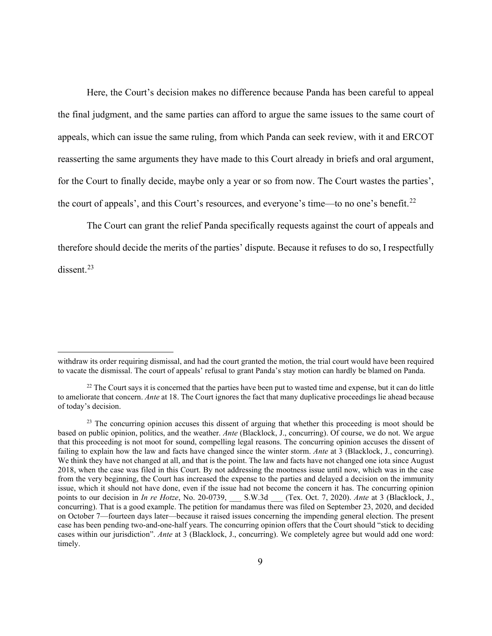Here, the Court's decision makes no difference because Panda has been careful to appeal the final judgment, and the same parties can afford to argue the same issues to the same court of appeals, which can issue the same ruling, from which Panda can seek review, with it and ERCOT reasserting the same arguments they have made to this Court already in briefs and oral argument, for the Court to finally decide, maybe only a year or so from now. The Court wastes the parties', the court of appeals', and this Court's resources, and everyone's time—to no one's benefit.<sup>22</sup>

The Court can grant the relief Panda specifically requests against the court of appeals and therefore should decide the merits of the parties' dispute. Because it refuses to do so, I respectfully dissent.<sup>23</sup>

withdraw its order requiring dismissal, and had the court granted the motion, the trial court would have been required to vacate the dismissal. The court of appeals' refusal to grant Panda's stay motion can hardly be blamed on Panda.

 $22$  The Court says it is concerned that the parties have been put to wasted time and expense, but it can do little to ameliorate that concern. *Ante* at 18. The Court ignores the fact that many duplicative proceedings lie ahead because of today's decision.

<sup>&</sup>lt;sup>23</sup> The concurring opinion accuses this dissent of arguing that whether this proceeding is moot should be based on public opinion, politics, and the weather. *Ante* (Blacklock, J., concurring). Of course, we do not. We argue that this proceeding is not moot for sound, compelling legal reasons. The concurring opinion accuses the dissent of failing to explain how the law and facts have changed since the winter storm. *Ante* at 3 (Blacklock, J., concurring). We think they have not changed at all, and that is the point. The law and facts have not changed one iota since August 2018, when the case was filed in this Court. By not addressing the mootness issue until now, which was in the case from the very beginning, the Court has increased the expense to the parties and delayed a decision on the immunity issue, which it should not have done, even if the issue had not become the concern it has. The concurring opinion points to our decision in *In re Hotze*, No. 20-0739, \_\_\_ S.W.3d \_\_\_ (Tex. Oct. 7, 2020). *Ante* at 3 (Blacklock, J., concurring). That is a good example. The petition for mandamus there was filed on September 23, 2020, and decided on October 7—fourteen days later—because it raised issues concerning the impending general election. The present case has been pending two-and-one-half years. The concurring opinion offers that the Court should "stick to deciding cases within our jurisdiction". *Ante* at 3 (Blacklock, J., concurring). We completely agree but would add one word: timely.